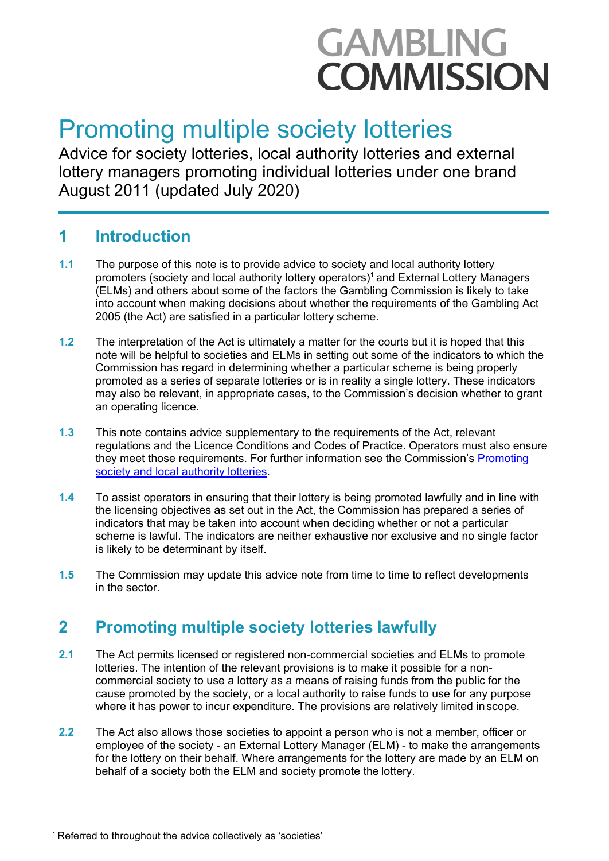# **GAMBLING COMMISSION**

## Promoting multiple society lotteries

Advice for society lotteries, local authority lotteries and external lottery managers promoting individual lotteries under one brand August 2011 (updated July 2020)

### **1 Introduction**

- **1.1** The purpose of this note is to provide advice to society and local authority lottery promoters (society and local authority lottery operators) [1](#page-0-0) and External Lottery Managers (ELMs) and others about some of the factors the Gambling Commission is likely to take into account when making decisions about whether the requirements of the Gambling Act 2005 (the Act) are satisfied in a particular lottery scheme.
- **1.2** The interpretation of the Act is ultimately a matter for the courts but it is hoped that this note will be helpful to societies and ELMs in setting out some of the indicators to which the Commission has regard in determining whether a particular scheme is being properly promoted as a series of separate lotteries or is in reality a single lottery. These indicators may also be relevant, in appropriate cases, to the Commission's decision whether to grant an operating licence.
- **1.3** This note contains advice supplementary to the requirements of the Act, relevant regulations and the Licence Conditions and Codes of Practice. Operators must also ensure they meet those requirements. For further information see the Commission's [Promoting](http://www.gamblingcommission.gov.uk/PDF/Promoting-society-and-local-authority-lotteries.pdf) [society and local authority](http://www.gamblingcommission.gov.uk/PDF/Promoting-society-and-local-authority-lotteries.pdf) lotteries.
- **1.4** To assist operators in ensuring that their lottery is being promoted lawfully and in line with the licensing objectives as set out in the Act, the Commission has prepared a series of indicators that may be taken into account when deciding whether or not a particular scheme is lawful. The indicators are neither exhaustive nor exclusive and no single factor is likely to be determinant by itself.
- **1.5** The Commission may update this advice note from time to time to reflect developments in the sector.

## **2 Promoting multiple society lotteries lawfully**

- **2.1** The Act permits licensed or registered non-commercial societies and ELMs to promote lotteries. The intention of the relevant provisions is to make it possible for a noncommercial society to use a lottery as a means of raising funds from the public for the cause promoted by the society, or a local authority to raise funds to use for any purpose where it has power to incur expenditure. The provisions are relatively limited inscope.
- **2.2** The Act also allows those societies to appoint a person who is not a member, officer or employee of the society - an External Lottery Manager (ELM) - to make the arrangements for the lottery on their behalf. Where arrangements for the lottery are made by an ELM on behalf of a society both the ELM and society promote the lottery.

<span id="page-0-0"></span><sup>1</sup> Referred to throughout the advice collectively as 'societies'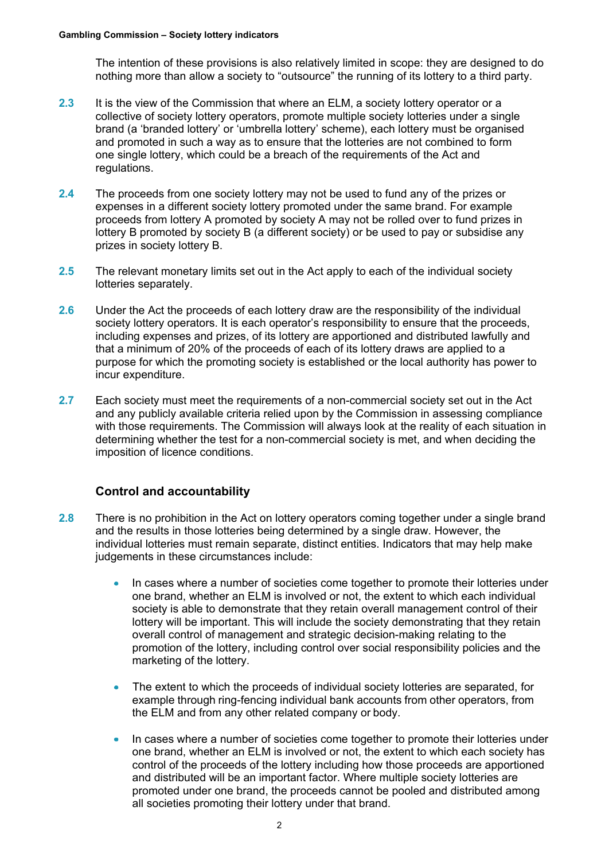The intention of these provisions is also relatively limited in scope: they are designed to do nothing more than allow a society to "outsource" the running of its lottery to a third party.

- **2.3** It is the view of the Commission that where an ELM, a society lottery operator or a collective of society lottery operators, promote multiple society lotteries under a single brand (a 'branded lottery' or 'umbrella lottery' scheme), each lottery must be organised and promoted in such a way as to ensure that the lotteries are not combined to form one single lottery, which could be a breach of the requirements of the Act and regulations.
- **2.4** The proceeds from one society lottery may not be used to fund any of the prizes or expenses in a different society lottery promoted under the same brand. For example proceeds from lottery A promoted by society A may not be rolled over to fund prizes in lottery B promoted by society B (a different society) or be used to pay or subsidise any prizes in society lottery B.
- **2.5** The relevant monetary limits set out in the Act apply to each of the individual society lotteries separately.
- **2.6** Under the Act the proceeds of each lottery draw are the responsibility of the individual society lottery operators. It is each operator's responsibility to ensure that the proceeds, including expenses and prizes, of its lottery are apportioned and distributed lawfully and that a minimum of 20% of the proceeds of each of its lottery draws are applied to a purpose for which the promoting society is established or the local authority has power to incur expenditure.
- **2.7** Each society must meet the requirements of a non-commercial society set out in the Act and any publicly available criteria relied upon by the Commission in assessing compliance with those requirements. The Commission will always look at the reality of each situation in determining whether the test for a non-commercial society is met, and when deciding the imposition of licence conditions.

#### **Control and accountability**

- **2.8** There is no prohibition in the Act on lottery operators coming together under a single brand and the results in those lotteries being determined by a single draw. However, the individual lotteries must remain separate, distinct entities. Indicators that may help make judgements in these circumstances include:
	- In cases where a number of societies come together to promote their lotteries under one brand, whether an ELM is involved or not, the extent to which each individual society is able to demonstrate that they retain overall management control of their lottery will be important. This will include the society demonstrating that they retain overall control of management and strategic decision-making relating to the promotion of the lottery, including control over social responsibility policies and the marketing of the lottery.
	- The extent to which the proceeds of individual society lotteries are separated, for example through ring-fencing individual bank accounts from other operators, from the ELM and from any other related company or body.
	- In cases where a number of societies come together to promote their lotteries under  $\bullet$ one brand, whether an ELM is involved or not, the extent to which each society has control of the proceeds of the lottery including how those proceeds are apportioned and distributed will be an important factor. Where multiple society lotteries are promoted under one brand, the proceeds cannot be pooled and distributed among all societies promoting their lottery under that brand.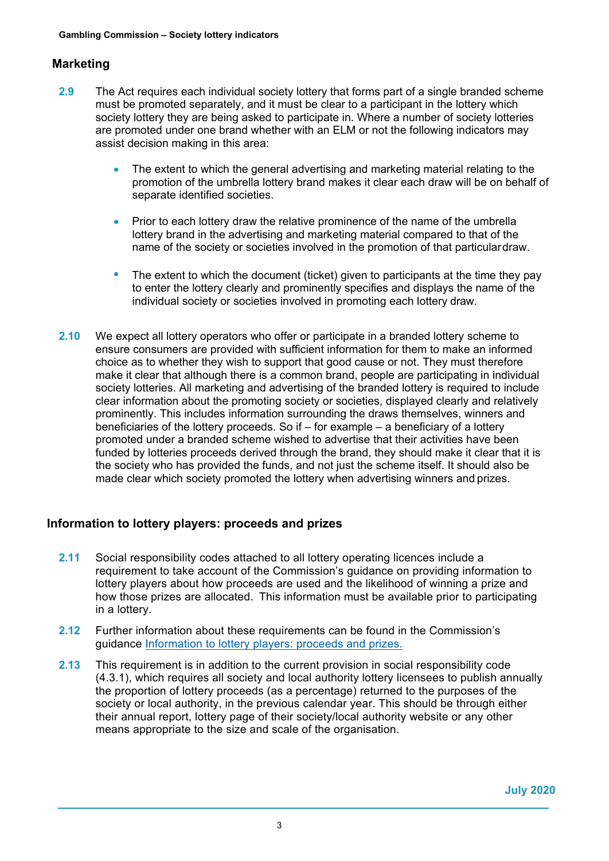#### **Marketing**

- **2.9** The Act requires each individual society lottery that forms part of a single branded scheme must be promoted separately, and it must be clear to a participant in the lottery which society lottery they are being asked to participate in. Where a number of society lotteries are promoted under one brand whether with an ELM or not the following indicators may assist decision making in this area:
	- The extent to which the general advertising and marketing material relating to the promotion of the umbrella lottery brand makes it clear each draw will be on behalf of separate identified societies.
	- Prior to each lottery draw the relative prominence of the name of the umbrella lottery brand in the advertising and marketing material compared to that of the name of the society or societies involved in the promotion of that particulardraw.
	- $\bullet$  The extent to which the document (ticket) given to participants at the time they pay to enter the lottery clearly and prominently specifies and displays the name of the individual society or societies involved in promoting each lottery draw.
- **2.10** We expect all lottery operators who offer or participate in a branded lottery scheme to ensure consumers are provided with sufficient information for them to make an informed choice as to whether they wish to support that good cause or not. They must therefore make it clear that although there is a common brand, people are participating in individual society lotteries. All marketing and advertising of the branded lottery is required to include clear information about the promoting society or societies, displayed clearly and relatively prominently. This includes information surrounding the draws themselves, winners and beneficiaries of the lottery proceeds. So if – for example – a beneficiary of a lottery promoted under a branded scheme wished to advertise that their activities have been funded by lotteries proceeds derived through the brand, they should make it clear that it is the society who has provided the funds, and not just the scheme itself. It should also be made clear which society promoted the lottery when advertising winners and prizes.

#### **Information to lottery players: proceeds and prizes**

- **2.11** Social responsibility codes attached to all lottery operating licences include a requirement to take account of the Commission's guidance on providing information to lottery players about how proceeds are used and the likelihood of winning a prize and how those prizes are allocated.  This information must be available prior to participating in a lottery.
- **2.12** Further information about these requirements can be found in the Commission's guidance [Information to lottery players: proceeds and prizes.](http://www.gamblingcommission.gov.uk/PDF/Society-lotteries-guidance-to-operators.pdf)
- **2.13** This requirement is in addition to the current provision in social responsibility code (4.3.1), which requires all society and local authority lottery licensees to publish annually the proportion of lottery proceeds (as a percentage) returned to the purposes of the society or local authority, in the previous calendar year. This should be through either their annual report, lottery page of their society/local authority website or any other means appropriate to the size and scale of the organisation.